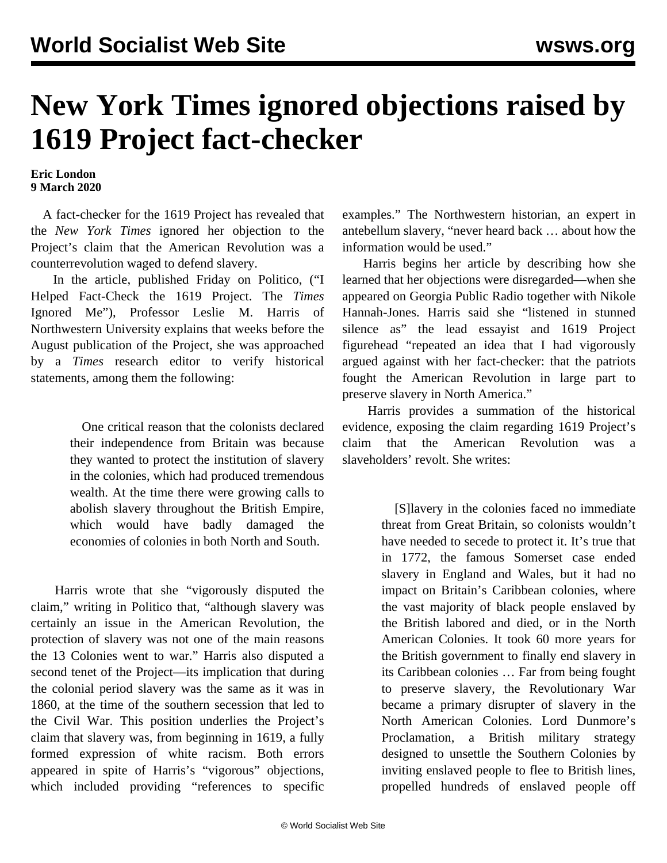## **New York Times ignored objections raised by 1619 Project fact-checker**

## **Eric London 9 March 2020**

 A fact-checker for the 1619 Project has revealed that the *New York Times* ignored her objection to the Project's claim that the American Revolution was a counterrevolution waged to defend slavery.

 In the article, published Friday on Politico, ("I Helped Fact-Check the 1619 Project. The *Times* Ignored Me"), Professor Leslie M. Harris of Northwestern University explains that weeks before the August publication of the Project, she was approached by a *Times* research editor to verify historical statements, among them the following:

> One critical reason that the colonists declared their independence from Britain was because they wanted to protect the institution of slavery in the colonies, which had produced tremendous wealth. At the time there were growing calls to abolish slavery throughout the British Empire, which would have badly damaged the economies of colonies in both North and South.

 Harris wrote that she "vigorously disputed the claim," writing in Politico that, "although slavery was certainly an issue in the American Revolution, the protection of slavery was not one of the main reasons the 13 Colonies went to war." Harris also disputed a second tenet of the Project—its implication that during the colonial period slavery was the same as it was in 1860, at the time of the southern secession that led to the Civil War. This position underlies the Project's claim that slavery was, from beginning in 1619, a fully formed expression of white racism. Both errors appeared in spite of Harris's "vigorous" objections, which included providing "references to specific

examples." The Northwestern historian, an expert in antebellum slavery, "never heard back … about how the information would be used."

 Harris begins her article by describing how she learned that her objections were disregarded—when she appeared on Georgia Public Radio together with Nikole Hannah-Jones. Harris said she "listened in stunned silence as" the lead essayist and 1619 Project figurehead "repeated an idea that I had vigorously argued against with her fact-checker: that the patriots fought the American Revolution in large part to preserve slavery in North America."

 Harris provides a summation of the historical evidence, exposing the claim regarding 1619 Project's claim that the American Revolution was a slaveholders' revolt. She writes:

> [S]lavery in the colonies faced no immediate threat from Great Britain, so colonists wouldn't have needed to secede to protect it. It's true that in 1772, the famous Somerset case ended slavery in England and Wales, but it had no impact on Britain's Caribbean colonies, where the vast majority of black people enslaved by the British labored and died, or in the North American Colonies. It took 60 more years for the British government to finally end slavery in its Caribbean colonies … Far from being fought to preserve slavery, the Revolutionary War became a primary disrupter of slavery in the North American Colonies. Lord Dunmore's Proclamation, a British military strategy designed to unsettle the Southern Colonies by inviting enslaved people to flee to British lines, propelled hundreds of enslaved people off